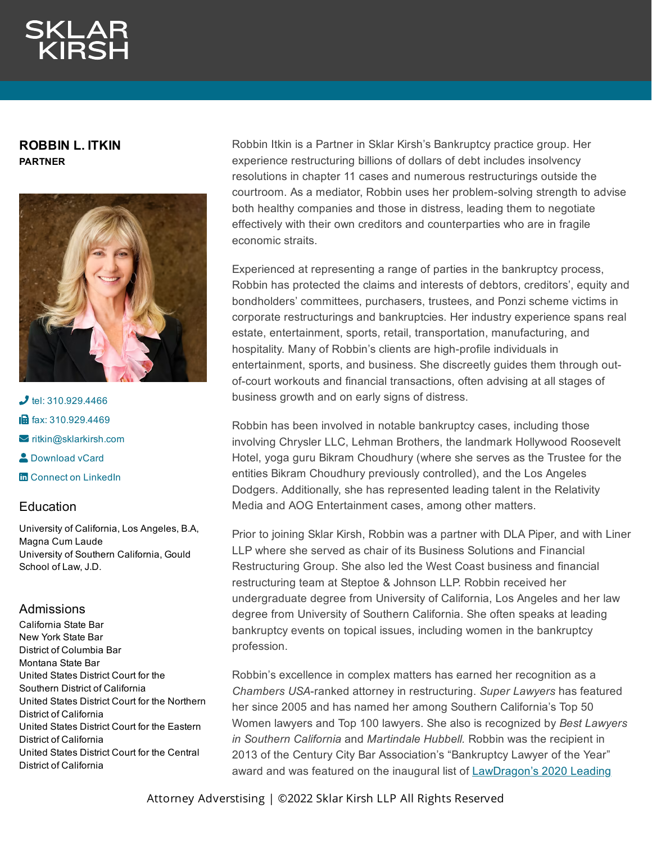**ROBBIN L. ITKIN PARTNER**



 $J$  tel: [310.929.4466](tel:310.929.4466) **in** fax: [310.929.4469](fax:310.929.4469)  $\blacktriangleright$  [ritkin@sklarkirsh.com](mailto:ritkin@sklarkirsh.com) **2** [Download](https://www.sklarkirsh.com/api/vcard?firstName=Robbin&middleName=L.&lastName=Itkin&email=ritkin@sklarkirsh.com&position=PARTNER&company=Sklar%20Kirsh%20LLP&phone=310.929.4466&fax=310.929.4469&address1=1880%20Century%20Park%20East,%20Ste%20300&city=Los%20Angeles&state=CA&zip=90067&country=US&image=https%253A%252F%252Fres.cloudinary.com%252Fsklar-kirsh-main%252Fimages%252F%252Ff_auto%252Cq_auto%252Fv1644340962%252FRobbin_03F_web_5161c11e5%252FRobbin_03F_web_5161c11e5.jpg%253F_i%253DAA&) vCard **Th** Connect on [LinkedIn](https://www.linkedin.com/in/robbinitkin/)

# **Education**

University of California, Los Angeles, B.A, Magna Cum Laude University of Southern California, Gould School of Law, J.D.

# Admissions

California State Bar New York State Bar District of Columbia Bar Montana State Bar United States District Court for the Southern District of California United States District Court for the Northern District of California United States District Court for the Eastern District of California United States District Court for the Central District of California

Robbin Itkin is a Partner in Sklar Kirsh's Bankruptcy practice group. Her experience restructuring billions of dollars of debt includes insolvency resolutions in chapter 11 cases and numerous restructurings outside the courtroom. As a mediator, Robbin uses her problem-solving strength to advise both healthy companies and those in distress, leading them to negotiate effectively with their own creditors and counterparties who are in fragile economic straits.

Experienced at representing a range of parties in the bankruptcy process, Robbin has protected the claims and interests of debtors, creditors', equity and bondholders' committees, purchasers, trustees, and Ponzi scheme victims in corporate restructurings and bankruptcies. Her industry experience spans real estate, entertainment, sports, retail, transportation, manufacturing, and hospitality. Many of Robbin's clients are high-profile individuals in entertainment, sports, and business. She discreetly guides them through outof-court workouts and financial transactions, often advising at all stages of business growth and on early signs of distress.

Robbin has been involved in notable bankruptcy cases, including those involving Chrysler LLC, Lehman Brothers, the landmark Hollywood Roosevelt Hotel, yoga guru Bikram Choudhury (where she serves as the Trustee for the entities Bikram Choudhury previously controlled), and the Los Angeles Dodgers. Additionally, she has represented leading talent in the Relativity Media and AOG Entertainment cases, among other matters.

Prior to joining Sklar Kirsh, Robbin was a partner with DLA Piper, and with Liner LLP where she served as chair of its Business Solutions and Financial Restructuring Group. She also led the West Coast business and financial restructuring team at Steptoe & Johnson LLP. Robbin received her undergraduate degree from University of California, Los Angeles and her law degree from University of Southern California. She often speaks at leading bankruptcy events on topical issues, including women in the bankruptcy profession.

Robbin's excellence in complex matters has earned her recognition as a *Chambers USA*-ranked attorney in restructuring. *Super Lawyers* has featured her since 2005 and has named her among Southern California's Top 50 Women lawyers and Top 100 lawyers. She also is recognized by *Best Lawyers in Southern California* and *Martindale Hubbell.* Robbin was the recipient in 2013 of the Century City Bar Association's "Bankruptcy Lawyer of the Year" award and was featured on the inaugural list of [LawDragon's 2020](https://www.lawdragon.com/2020/07/24/the-2020-lawdragon-500-leading-u-s-bankruptcy-restructuring-lawyers/) Leading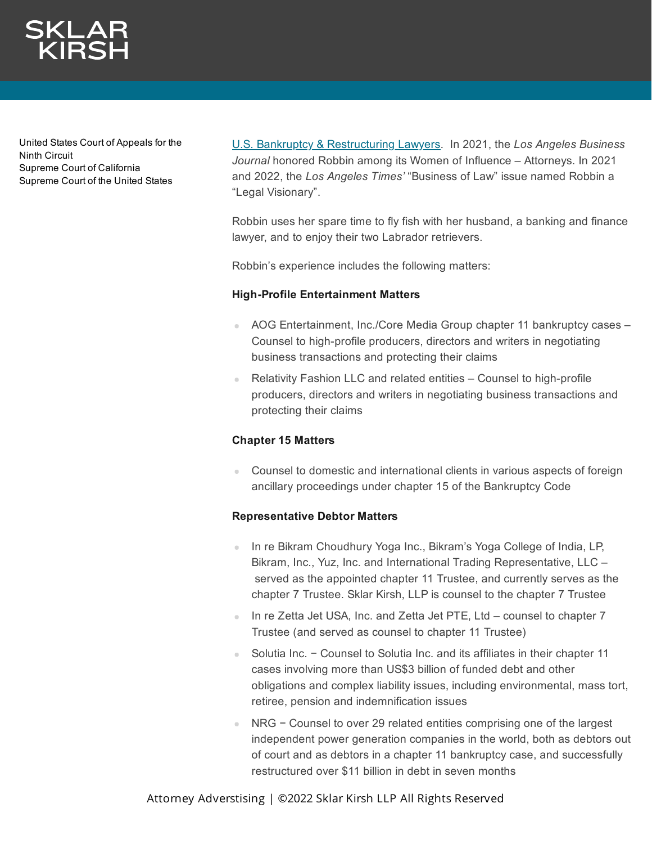United States Court of Appeals for the Ninth Circuit Supreme Court of California Supreme Court of the United States

U.S. Bankruptcy & Restructuring Lawyers. In 2021, the *[Los Angeles Busine](https://www.lawdragon.com/2020/07/24/the-2020-lawdragon-500-leading-u-s-bankruptcy-restructuring-lawyers/)ss Journal* honored Robbin among its Women of Influence – Attorneys. In 2021 and 2022, the *Los Angeles Times'* "Business of Law" issue named Robbin a "Legal Visionary".

Robbin uses her spare time to fly fish with her husband, a banking and finance lawyer, and to enjoy their two Labrador retrievers.

Robbin's experience includes the following matters:

# **High-Profile Entertainment Matters**

- AOG Entertainment, Inc./Core Media Group chapter 11 bankruptcy cases Counsel to high-profile producers, directors and writers in negotiating business transactions and protecting their claims
- Relativity Fashion LLC and related entities Counsel to high-profile producers, directors and writers in negotiating business transactions and protecting their claims

# **Chapter 15 Matters**

Counsel to domestic and international clients in various aspects of foreign ancillary proceedings under chapter 15 of the Bankruptcy Code

# **Representative Debtor Matters**

- In re Bikram Choudhury Yoga Inc., Bikram's Yoga College of India, LP, Bikram, Inc., Yuz, Inc. and International Trading Representative, LLC – served as the appointed chapter 11 Trustee, and currently serves as the chapter 7 Trustee. Sklar Kirsh, LLP is counsel to the chapter 7 Trustee
- In re Zetta Jet USA, Inc. and Zetta Jet PTE, Ltd counsel to chapter 7 Trustee (and served as counsel to chapter 11 Trustee)
- Solutia Inc. Counsel to Solutia Inc. and its affiliates in their chapter 11 cases involving more than US\$3 billion of funded debt and other obligations and complex liability issues, including environmental, mass tort, retiree, pension and indemnification issues
- NRG Counsel to over 29 related entities comprising one of the largest independent power generation companies in the world, both as debtors out of court and as debtors in a chapter 11 bankruptcy case, and successfully restructured over \$11 billion in debt in seven months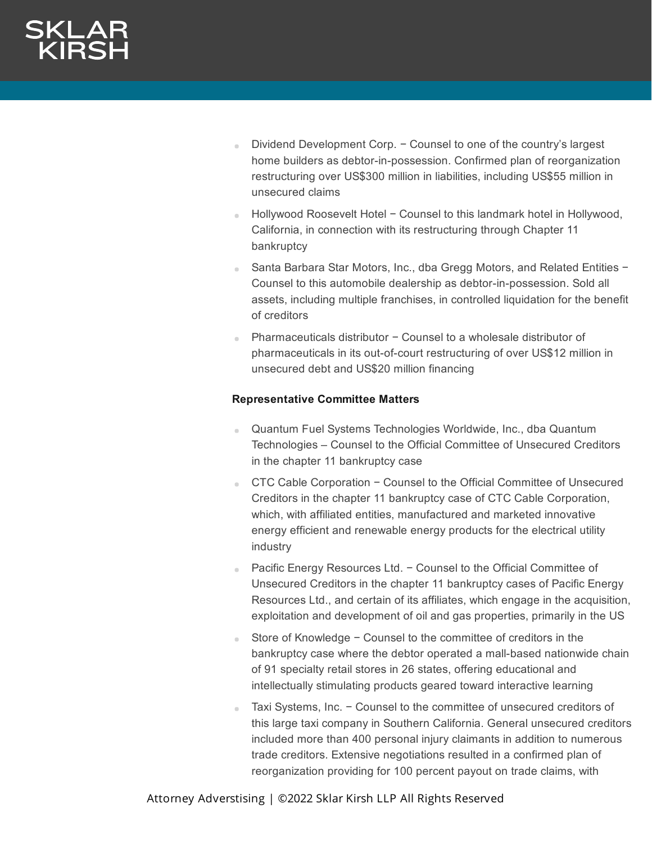- Dividend Development Corp. Counsel to one of the country's largest a. home builders as debtor-in-possession. Confirmed plan of reorganization restructuring over US\$300 million in liabilities, including US\$55 million in unsecured claims
- Hollywood Roosevelt Hotel − Counsel to this landmark hotel in Hollywood, California, in connection with its restructuring through Chapter 11 bankruptcy
- Santa Barbara Star Motors, Inc., dba Gregg Motors, and Related Entities − Counsel to this automobile dealership as debtor-in-possession. Sold all assets, including multiple franchises, in controlled liquidation for the benefit of creditors
- Pharmaceuticals distributor − Counsel to a wholesale distributor of pharmaceuticals in its out-of-court restructuring of over US\$12 million in unsecured debt and US\$20 million financing

# **Representative Committee Matters**

- Quantum Fuel Systems Technologies Worldwide, Inc., dba Quantum Technologies – Counsel to the Official Committee of Unsecured Creditors in the chapter 11 bankruptcy case
- CTC Cable Corporation Counsel to the Official Committee of Unsecured Creditors in the chapter 11 bankruptcy case of CTC Cable Corporation, which, with affiliated entities, manufactured and marketed innovative energy efficient and renewable energy products for the electrical utility industry
- Pacific Energy Resources Ltd. Counsel to the Official Committee of Unsecured Creditors in the chapter 11 bankruptcy cases of Pacific Energy Resources Ltd., and certain of its affiliates, which engage in the acquisition, exploitation and development of oil and gas properties, primarily in the US
- Store of Knowledge − Counsel to the committee of creditors in the bankruptcy case where the debtor operated a mall-based nationwide chain of 91 specialty retail stores in 26 states, offering educational and intellectually stimulating products geared toward interactive learning
- Taxi Systems, Inc. Counsel to the committee of unsecured creditors of this large taxi company in Southern California. General unsecured creditors included more than 400 personal injury claimants in addition to numerous trade creditors. Extensive negotiations resulted in a confirmed plan of reorganization providing for 100 percent payout on trade claims, with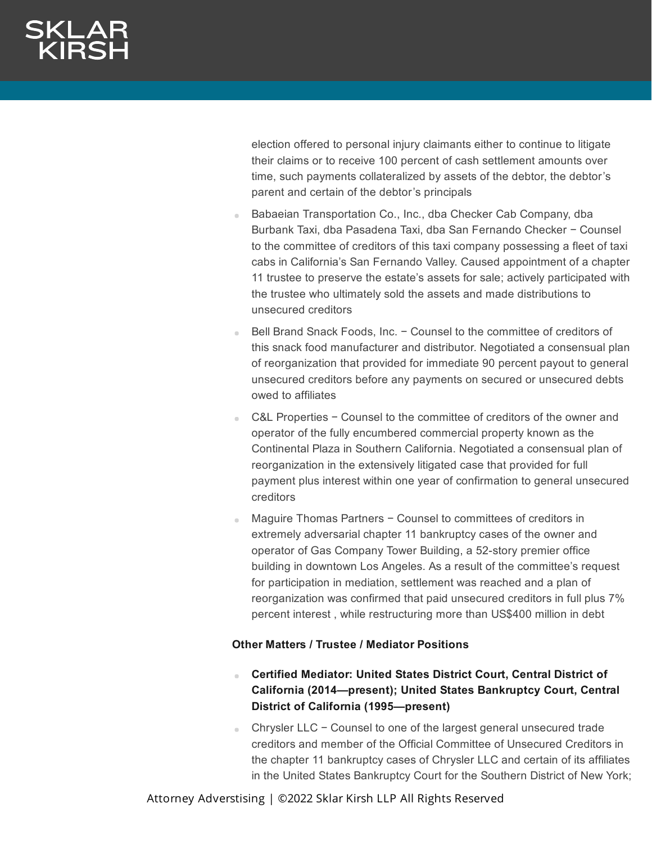election offered to personal injury claimants either to continue to litigate their claims or to receive 100 percent of cash settlement amounts over time, such payments collateralized by assets of the debtor, the debtor's parent and certain of the debtor's principals

- Babaeian Transportation Co., Inc., dba Checker Cab Company, dba Burbank Taxi, dba Pasadena Taxi, dba San Fernando Checker − Counsel to the committee of creditors of this taxi company possessing a fleet of taxi cabs in California's San Fernando Valley. Caused appointment of a chapter 11 trustee to preserve the estate's assets for sale; actively participated with the trustee who ultimately sold the assets and made distributions to unsecured creditors
- Bell Brand Snack Foods, Inc. − Counsel to the committee of creditors of this snack food manufacturer and distributor. Negotiated a consensual plan of reorganization that provided for immediate 90 percent payout to general unsecured creditors before any payments on secured or unsecured debts owed to affiliates
- C&L Properties − Counsel to the committee of creditors of the owner and operator of the fully encumbered commercial property known as the Continental Plaza in Southern California. Negotiated a consensual plan of reorganization in the extensively litigated case that provided for full payment plus interest within one year of confirmation to general unsecured creditors
- Maguire Thomas Partners − Counsel to committees of creditors in extremely adversarial chapter 11 bankruptcy cases of the owner and operator of Gas Company Tower Building, a 52-story premier office building in downtown Los Angeles. As a result of the committee's request for participation in mediation, settlement was reached and a plan of reorganization was confirmed that paid unsecured creditors in full plus 7% percent interest , while restructuring more than US\$400 million in debt

# **Other Matters / Trustee / Mediator Positions**

- **Certified Mediator: United States District Court, Central District of** a. **California (2014—present); United States Bankruptcy Court, Central District of California (1995—present)**
- Chrysler LLC Counsel to one of the largest general unsecured trade creditors and member of the Official Committee of Unsecured Creditors in the chapter 11 bankruptcy cases of Chrysler LLC and certain of its affiliates in the United States Bankruptcy Court for the Southern District of New York;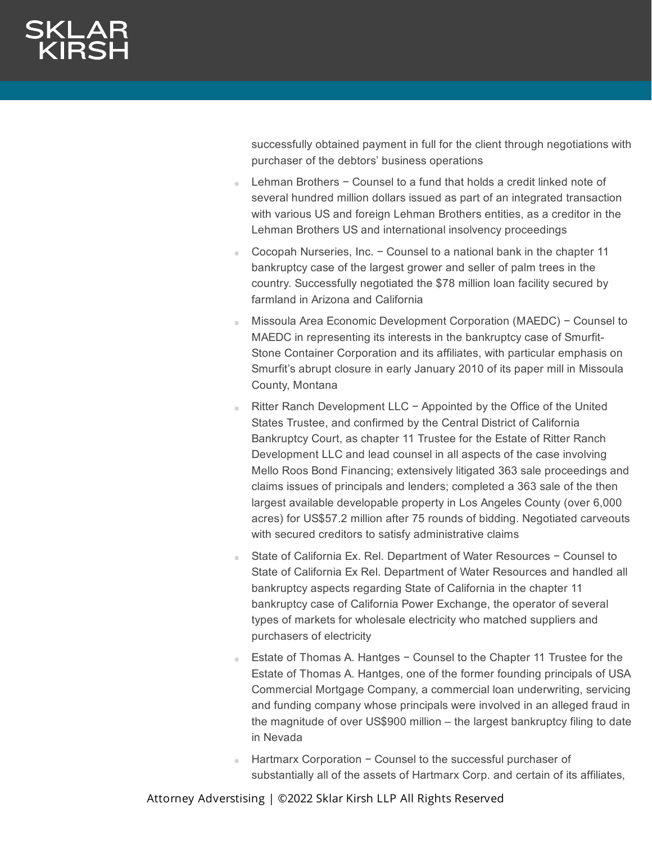successfully obtained payment in full for the client through negotiations with purchaser of the debtors' business operations

- Lehman Brothers − Counsel to a fund that holds a credit linked note of several hundred million dollars issued as part of an integrated transaction with various US and foreign Lehman Brothers entities, as a creditor in the Lehman Brothers US and international insolvency proceedings
- Cocopah Nurseries, Inc. Counsel to a national bank in the chapter 11 bankruptcy case of the largest grower and seller of palm trees in the country. Successfully negotiated the \$78 million loan facility secured by farmland in Arizona and California
- Missoula Area Economic Development Corporation (MAEDC) − Counsel to MAEDC in representing its interests in the bankruptcy case of Smurfit-Stone Container Corporation and its affiliates, with particular emphasis on Smurfit's abrupt closure in early January 2010 of its paper mill in Missoula County, Montana
- Ritter Ranch Development LLC − Appointed by the Office of the United States Trustee, and confirmed by the Central District of California Bankruptcy Court, as chapter 11 Trustee for the Estate of Ritter Ranch Development LLC and lead counsel in all aspects of the case involving Mello Roos Bond Financing; extensively litigated 363 sale proceedings and claims issues of principals and lenders; completed a 363 sale of the then largest available developable property in Los Angeles County (over 6,000 acres) for US\$57.2 million after 75 rounds of bidding. Negotiated carveouts with secured creditors to satisfy administrative claims
- State of California Ex. Rel. Department of Water Resources − Counsel to State of California Ex Rel. Department of Water Resources and handled all bankruptcy aspects regarding State of California in the chapter 11 bankruptcy case of California Power Exchange, the operator of several types of markets for wholesale electricity who matched suppliers and purchasers of electricity
- Estate of Thomas A. Hantges − Counsel to the Chapter 11 Trustee for the Estate of Thomas A. Hantges, one of the former founding principals of USA Commercial Mortgage Company, a commercial loan underwriting, servicing and funding company whose principals were involved in an alleged fraud in the magnitude of over US\$900 million – the largest bankruptcy filing to date in Nevada
- Hartmarx Corporation − Counsel to the successful purchaser of substantially all of the assets of Hartmarx Corp. and certain of its affiliates,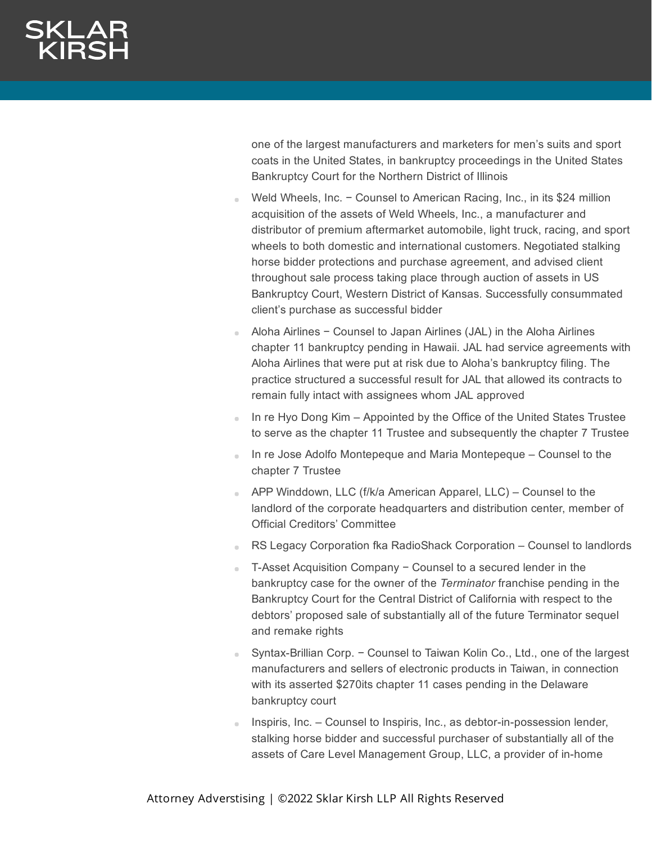one of the largest manufacturers and marketers for men's suits and sport coats in the United States, in bankruptcy proceedings in the United States Bankruptcy Court for the Northern District of Illinois

- Weld Wheels, Inc. Counsel to American Racing, Inc., in its \$24 million acquisition of the assets of Weld Wheels, Inc., a manufacturer and distributor of premium aftermarket automobile, light truck, racing, and sport wheels to both domestic and international customers. Negotiated stalking horse bidder protections and purchase agreement, and advised client throughout sale process taking place through auction of assets in US Bankruptcy Court, Western District of Kansas. Successfully consummated client's purchase as successful bidder
- Aloha Airlines − Counsel to Japan Airlines (JAL) in the Aloha Airlines chapter 11 bankruptcy pending in Hawaii. JAL had service agreements with Aloha Airlines that were put at risk due to Aloha's bankruptcy filing. The practice structured a successful result for JAL that allowed its contracts to remain fully intact with assignees whom JAL approved
- In re Hyo Dong Kim Appointed by the Office of the United States Trustee to serve as the chapter 11 Trustee and subsequently the chapter 7 Trustee
- In re Jose Adolfo Montepeque and Maria Montepeque Counsel to the chapter 7 Trustee
- APP Winddown, LLC (f/k/a American Apparel, LLC) Counsel to the landlord of the corporate headquarters and distribution center, member of Official Creditors' Committee
- RS Legacy Corporation fka RadioShack Corporation Counsel to landlords
- T-Asset Acquisition Company − Counsel to a secured lender in the bankruptcy case for the owner of the *Terminator* franchise pending in the Bankruptcy Court for the Central District of California with respect to the debtors' proposed sale of substantially all of the future Terminator sequel and remake rights
- Syntax-Brillian Corp. − Counsel to Taiwan Kolin Co., Ltd., one of the largest manufacturers and sellers of electronic products in Taiwan, in connection with its asserted \$270its chapter 11 cases pending in the Delaware bankruptcy court
- Inspiris, Inc. Counsel to Inspiris, Inc., as debtor-in-possession lender, stalking horse bidder and successful purchaser of substantially all of the assets of Care Level Management Group, LLC, a provider of in-home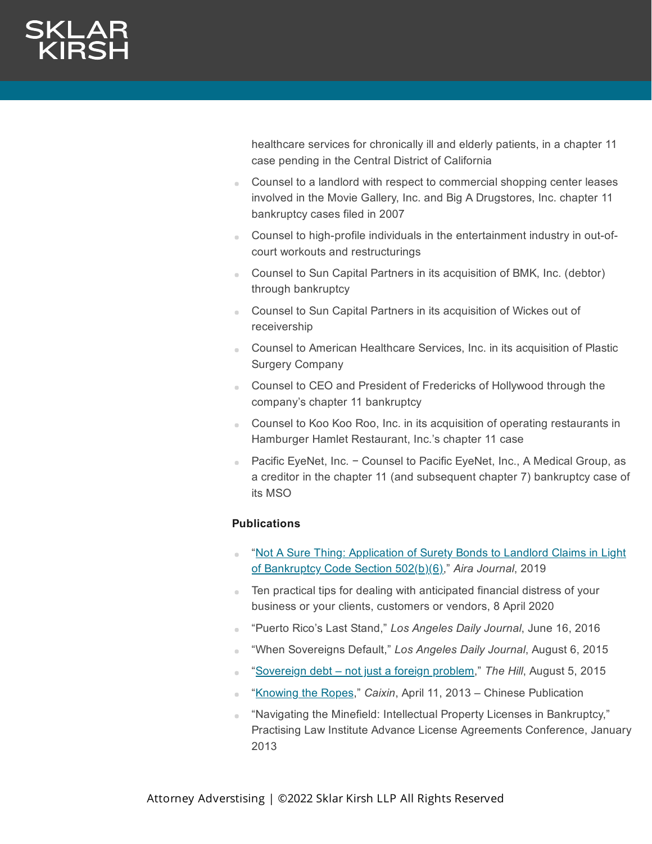healthcare services for chronically ill and elderly patients, in a chapter 11 case pending in the Central District of California

- Counsel to a landlord with respect to commercial shopping center leases involved in the Movie Gallery, Inc. and Big A Drugstores, Inc. chapter 11 bankruptcy cases filed in 2007
- Counsel to high-profile individuals in the entertainment industry in out-ofcourt workouts and restructurings
- Counsel to Sun Capital Partners in its acquisition of BMK, Inc. (debtor) through bankruptcy
- **Counsel to Sun Capital Partners in its acquisition of Wickes out of** receivership
- Counsel to American Healthcare Services, Inc. in its acquisition of Plastic Surgery Company
- **Counsel to CEO and President of Fredericks of Hollywood through the** company's chapter 11 bankruptcy
- Counsel to Koo Koo Roo, Inc. in its acquisition of operating restaurants in Hamburger Hamlet Restaurant, Inc.'s chapter 11 case
- Pacific EyeNet, Inc. − Counsel to Pacific EyeNet, Inc., A Medical Group, as a creditor in the chapter 11 (and subsequent chapter 7) bankruptcy case of its MSO

# **Publications**

- "Not A Sure Thing: Application of Surety Bonds to Landlord Claims in Light of [Bankruptcy Code](https://www.aira.org/pdf/journal/2019_v32_n3.pdf) Section 502(b)(6)," *Aira Journal*, 2019
- Ten practical tips for dealing with anticipated financial distress of your a. business or your clients, customers or vendors, 8 April 2020
- "Puerto Rico's Last Stand," *Los Angeles Daily Journal*, June 16, 2016
- "When Sovereigns Default," *Los Angeles Daily Journal*, August 6, 2015
- "[Sovereign](http://thehill.com/blogs/congress-blog/judicial/250212-sovereign-debt-not-just-a-foreign-problem) debt not just a foreign problem," *The Hill*, August 5, 2015
- "[Knowing](http://www.caixinglobal.com/) the Ropes," *Caixin*, April 11, 2013 Chinese Publication  $\sim$
- "Navigating the Minefield: Intellectual Property Licenses in Bankruptcy," Practising Law Institute Advance License Agreements Conference, January 2013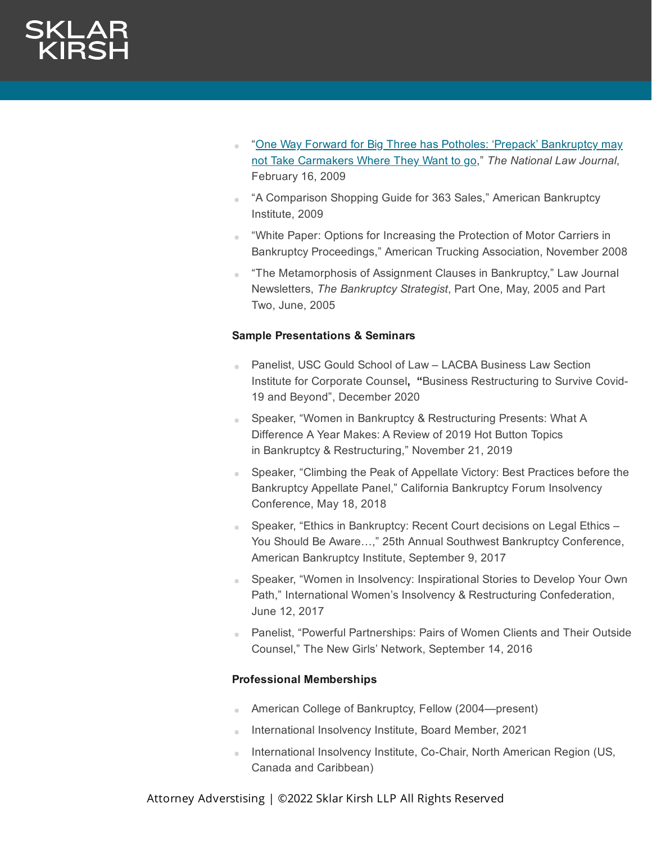- "One Way Forward for Big Three has Potholes: 'Prepack' Bankruptcy may not Take [Carmakers Where](http://www.nationallawjournal.com/id=1202428271142?keywords=One+way+Forward+for+Big+Three+has+Potholes&publication=National+Law+Journal) They Want to go," *The National Law Journal*, February 16, 2009
- "A Comparison Shopping Guide for 363 Sales," American Bankruptcy Institute, 2009
- "White Paper: Options for Increasing the Protection of Motor Carriers in Bankruptcy Proceedings," American Trucking Association, November 2008
- "The Metamorphosis of Assignment Clauses in Bankruptcy," Law Journal Newsletters, *The Bankruptcy Strategist*, Part One, May, 2005 and Part Two, June, 2005

# **Sample Presentations & Seminars**

- Panelist, USC Gould School of Law LACBA Business Law Section Institute for Corporate Counsel**, "**Business Restructuring to Survive Covid-19 and Beyond", December 2020
- Speaker, "Women in Bankruptcy & Restructuring Presents: What A Difference A Year Makes: A Review of 2019 Hot Button Topics in Bankruptcy & Restructuring," November 21, 2019
- Speaker, "Climbing the Peak of Appellate Victory: Best Practices before the Bankruptcy Appellate Panel," California Bankruptcy Forum Insolvency Conference, May 18, 2018
- Speaker, "Ethics in Bankruptcy: Recent Court decisions on Legal Ethics You Should Be Aware…," 25th Annual Southwest Bankruptcy Conference, American Bankruptcy Institute, September 9, 2017
- Speaker, "Women in Insolvency: Inspirational Stories to Develop Your Own Path," International Women's Insolvency & Restructuring Confederation, June 12, 2017
- **Panelist, "Powerful Partnerships: Pairs of Women Clients and Their Outside** Counsel," The New Girls' Network, September 14, 2016

# **Professional Memberships**

- American College of Bankruptcy, Fellow (2004—present) a.
- **International Insolvency Institute, Board Member, 2021**
- **International Insolvency Institute, Co-Chair, North American Region (US,** Canada and Caribbean)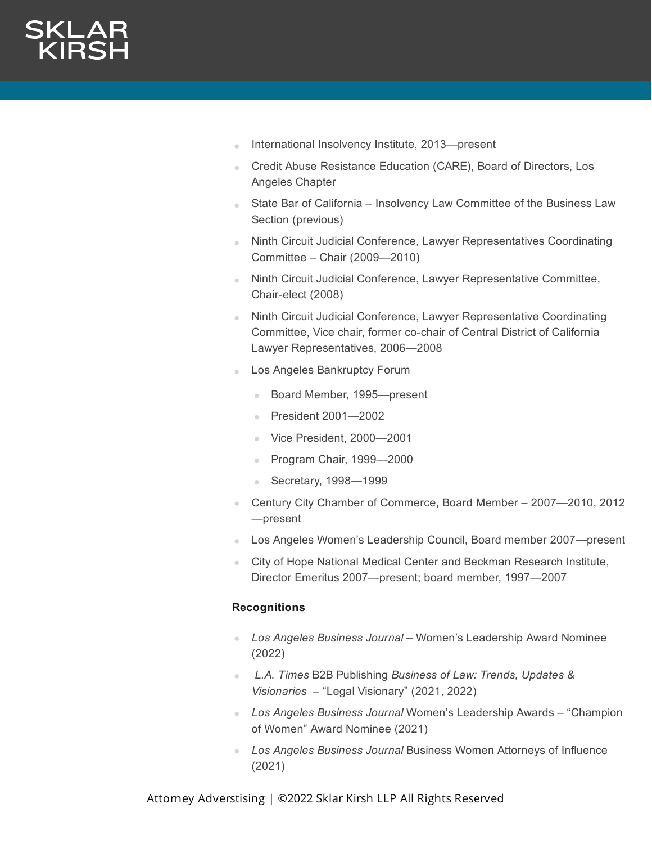- International Insolvency Institute, 2013—present
- **Credit Abuse Resistance Education (CARE), Board of Directors, Los** Angeles Chapter
- **State Bar of California Insolvency Law Committee of the Business Law** Section (previous)
- Ninth Circuit Judicial Conference, Lawyer Representatives Coordinating Committee – Chair (2009—2010)
- Ninth Circuit Judicial Conference, Lawyer Representative Committee, Chair-elect (2008)
- **Ninth Circuit Judicial Conference, Lawyer Representative Coordinating** Committee, Vice chair, former co-chair of Central District of California Lawyer Representatives, 2006—2008
- Los Angeles Bankruptcy Forum
	- Board Member, 1995—present
	- President 2001—2002
	- Vice President, 2000-2001
	- Program Chair, 1999-2000
	- Secretary, 1998—1999
- Century City Chamber of Commerce, Board Member 2007—2010, 2012 —present
- Los Angeles Women's Leadership Council, Board member 2007—present
- City of Hope National Medical Center and Beckman Research Institute, Director Emeritus 2007—present; board member, 1997—2007

# **Recognitions**

- *Los Angeles Business Journal* Women's Leadership Award Nominee (2022)
- *L.A. Times* B2B Publishing *Business of Law: Trends, Updates & Visionaries* – "Legal Visionary" (2021, 2022)
- *Los Angeles Business Journal* Women's Leadership Awards "Champion of Women" Award Nominee (2021)
- *Los Angeles Business Journal* Business Women Attorneys of Influence (2021)